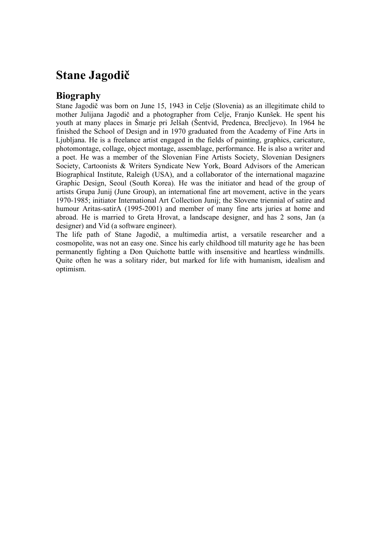# **Stane Jagodič**

#### **Biography**

Stane Jagodič was born on June 15, 1943 in Celje (Slovenia) as an illegitimate child to mother Julijana Jagodič and a photographer from Celje, Franjo Kunšek. He spent his youth at many places in Šmarje pri Jelšah (Šentvid, Predenca, Brecljevo). In 1964 he finished the School of Design and in 1970 graduated from the Academy of Fine Arts in Ljubljana. He is a freelance artist engaged in the fields of painting, graphics, caricature, photomontage, collage, object montage, assemblage, performance. He is also a writer and a poet. He was a member of the Slovenian Fine Artists Society, Slovenian Designers Society, Cartoonists & Writers Syndicate New York, Board Advisors of the American Biographical Institute, Raleigh (USA), and a collaborator of the international magazine Graphic Design, Seoul (South Korea). He was the initiator and head of the group of artists Grupa Junij (June Group), an international fine art movement, active in the years 1970-1985; initiator International Art Collection Junij; the Slovene triennial of satire and humour Aritas-satirA (1995-2001) and member of many fine arts juries at home and abroad. He is married to Greta Hrovat, a landscape designer, and has 2 sons, Jan (a designer) and Vid (a software engineer).

The life path of Stane Jagodič, a multimedia artist, a versatile researcher and a cosmopolite, was not an easy one. Since his early childhood till maturity age he has been permanently fighting a Don Quichotte battle with insensitive and heartless windmills. Quite often he was a solitary rider, but marked for life with humanism, idealism and optimism.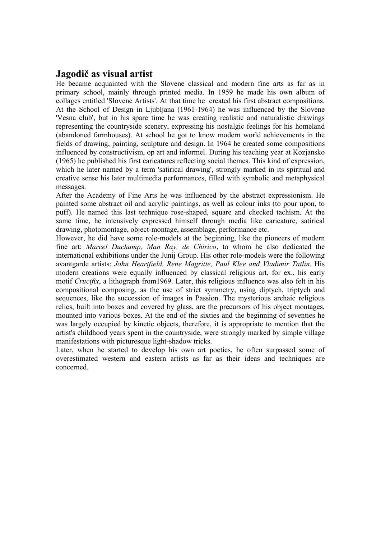#### **Jagodič as visual artist**

He became acquainted with the Slovene classical and modern fine arts as far as in primary school, mainly through printed media. In 1959 he made his own album of collages entitled 'Slovene Artists'. At that time he created his first abstract compositions. At the School of Design in Ljubljana (1961-1964) he was influenced by the Slovene 'Vesna club', but in his spare time he was creating realistic and naturalistic drawings representing the countryside scenery, expressing his nostalgic feelings for his homeland (abandoned farmhouses). At school he got to know modern world achievements in the fields of drawing, painting, sculpture and design. In 1964 he created some compositions influenced by constructivism, op art and informel. During his teaching year at Kozjansko (1965) he published his first caricatures reflecting social themes. This kind of expression, which he later named by a term 'satirical drawing', strongly marked in its spiritual and creative sense his later multimedia performances, filled with symbolic and metaphysical messages.

After the Academy of Fine Arts he was influenced by the abstract expressionism. He painted some abstract oil and acrylic paintings, as well as colour inks (to pour upon, to puff). He named this last technique rose-shaped, square and checked tachism. At the same time, he intensively expressed himself through media like caricature, satirical drawing, photomontage, object-montage, assemblage, performance etc.

However, he did have some role-models at the beginning, like the pioneers of modern fine art: *Marcel Duchamp, Man Ray, de Chirico*, to whom he also dedicated the international exhibitions under the Junij Group. His other role-models were the following avantgarde artists: *John Heartfield, Rene Magritte, Paul Klee and Vladimir Tatlin.* His modern creations were equally influenced by classical religious art, for ex., his early motif *Crucifix*, a lithograph from1969. Later, this religious influence was also felt in his compositional composing, as the use of strict symmetry, using diptych, triptych and sequences, like the succession of images in Passion. The mysterious archaic religious relics, built into boxes and covered by glass, are the precursors of his object montages, mounted into various boxes. At the end of the sixties and the beginning of seventies he was largely occupied by kinetic objects, therefore, it is appropriate to mention that the artist's childhood years spent in the countryside, were strongly marked by simple village manifestations with picturesque light-shadow tricks.

Later, when he started to develop his own art poetics, he often surpassed some of overestimated western and eastern artists as far as their ideas and techniques are concerned.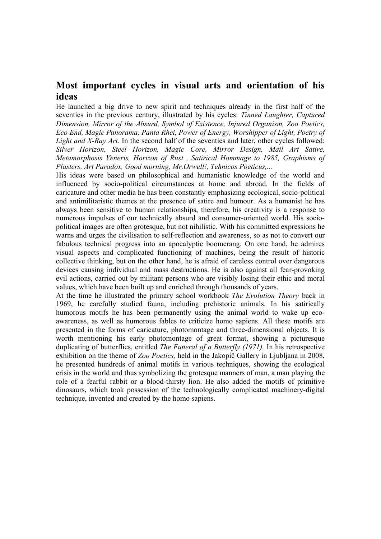### **Most important cycles in visual arts and orientation of his ideas**

He launched a big drive to new spirit and techniques already in the first half of the seventies in the previous century, illustrated by his cycles: *Tinned Laughter, Captured Dimension, Mirror of the Absurd, Symbol of Existence, Injured Organism, Zoo Poetics, Eco End, Magic Panorama, Panta Rhei, Power of Energy, Worshipper of Light, Poetry of Light and X-Ray Art.* In the second half of the seventies and later, other cycles followed: *Silver Horizon, Steel Horizon, Magic Core, Mirror Design, Mail Art Satire, Metamorphosis Veneris, Horizon of Rust , Satirical Hommage to 1985, Graphisms of Plasters, Art Paradox, Good morning, Mr.Orwell!, Tehnicos Poeticus,...*

His ideas were based on philosophical and humanistic knowledge of the world and influenced by socio-political circumstances at home and abroad. In the fields of caricature and other media he has been constantly emphasizing ecological, socio-political and antimilitaristic themes at the presence of satire and humour. As a humanist he has always been sensitive to human relationships, therefore, his creativity is a response to numerous impulses of our technically absurd and consumer-oriented world. His sociopolitical images are often grotesque, but not nihilistic. With his committed expressions he warns and urges the civilisation to self-reflection and awareness, so as not to convert our fabulous technical progress into an apocalyptic boomerang. On one hand, he admires visual aspects and complicated functioning of machines, being the result of historic collective thinking, but on the other hand, he is afraid of careless control over dangerous devices causing individual and mass destructions. He is also against all fear-provoking evil actions, carried out by militant persons who are visibly losing their ethic and moral values, which have been built up and enriched through thousands of years.

At the time he illustrated the primary school workbook *The Evolution Theory* back in 1969, he carefully studied fauna, including prehistoric animals. In his satirically humorous motifs he has been permanently using the animal world to wake up ecoawareness, as well as humorous fables to criticize homo sapiens. All these motifs are presented in the forms of caricature, photomontage and three-dimensional objects. It is worth mentioning his early photomontage of great format, showing a picturesque duplicating of butterflies, entitled *The Funeral of a Butterfly (1971).* In his retrospective exhibition on the theme of *Zoo Poetics,* held in the Jakopič Gallery in Ljubljana in 2008, he presented hundreds of animal motifs in various techniques, showing the ecological crisis in the world and thus symbolizing the grotesque manners of man, a man playing the role of a fearful rabbit or a blood-thirsty lion. He also added the motifs of primitive dinosaurs, which took possession of the technologically complicated machinery-digital technique, invented and created by the homo sapiens.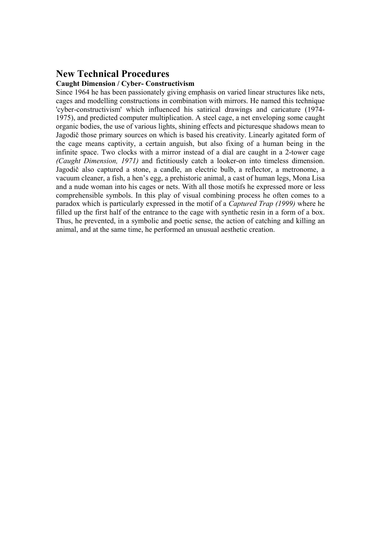#### **New Technical Procedures**

#### **Caught Dimension / Cyber- Constructivism**

Since 1964 he has been passionately giving emphasis on varied linear structures like nets, cages and modelling constructions in combination with mirrors. He named this technique 'cyber-constructivism' which influenced his satirical drawings and caricature (1974- 1975), and predicted computer multiplication. A steel cage, a net enveloping some caught organic bodies, the use of various lights, shining effects and picturesque shadows mean to Jagodič those primary sources on which is based his creativity. Linearly agitated form of the cage means captivity, a certain anguish, but also fixing of a human being in the infinite space. Two clocks with a mirror instead of a dial are caught in a 2-tower cage *(Caught Dimension, 1971)* and fictitiously catch a looker-on into timeless dimension. Jagodič also captured a stone, a candle, an electric bulb, a reflector, a metronome, a vacuum cleaner, a fish, a hen's egg, a prehistoric animal, a cast of human legs, Mona Lisa and a nude woman into his cages or nets. With all those motifs he expressed more or less comprehensible symbols. In this play of visual combining process he often comes to a paradox which is particularly expressed in the motif of a *Captured Trap (1999)* where he filled up the first half of the entrance to the cage with synthetic resin in a form of a box. Thus, he prevented, in a symbolic and poetic sense, the action of catching and killing an animal, and at the same time, he performed an unusual aesthetic creation.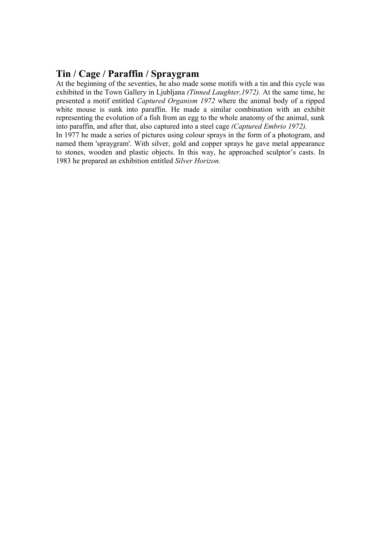## **Tin / Cage / Paraffin / Spraygram**

At the beginning of the seventies, he also made some motifs with a tin and this cycle was exhibited in the Town Gallery in Ljubljana *(Tinned Laughter,1972).* At the same time, he presented a motif entitled *Captured Organism 1972* where the animal body of a ripped white mouse is sunk into paraffin. He made a similar combination with an exhibit representing the evolution of a fish from an egg to the whole anatomy of the animal, sunk into paraffin, and after that, also captured into a steel cage *(Captured Embrio 1972).*

In 1977 he made a series of pictures using colour sprays in the form of a photogram, and named them 'spraygram'. With silver, gold and copper sprays he gave metal appearance to stones, wooden and plastic objects. In this way, he approached sculptor's casts. In 1983 he prepared an exhibition entitled *Silver Horizon.*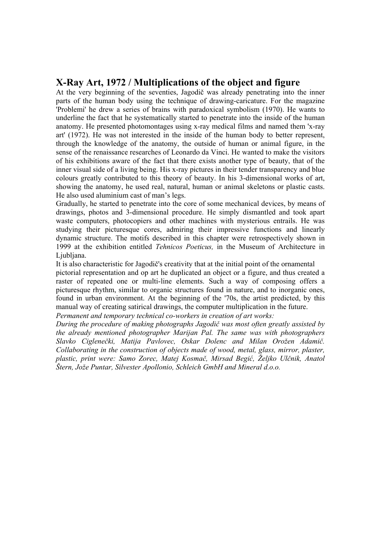#### **X-Ray Art, 1972 / Multiplications of the object and figure**

At the very beginning of the seventies, Jagodič was already penetrating into the inner parts of the human body using the technique of drawing-caricature. For the magazine 'Problemi' he drew a series of brains with paradoxical symbolism (1970). He wants to underline the fact that he systematically started to penetrate into the inside of the human anatomy. He presented photomontages using x-ray medical films and named them 'x-ray art' (1972). He was not interested in the inside of the human body to better represent, through the knowledge of the anatomy, the outside of human or animal figure, in the sense of the renaissance researches of Leonardo da Vinci. He wanted to make the visitors of his exhibitions aware of the fact that there exists another type of beauty, that of the inner visual side of a living being. His x-ray pictures in their tender transparency and blue colours greatly contributed to this theory of beauty. In his 3-dimensional works of art, showing the anatomy, he used real, natural, human or animal skeletons or plastic casts. He also used aluminium cast of man's legs.

Gradually, he started to penetrate into the core of some mechanical devices, by means of drawings, photos and 3-dimensional procedure. He simply dismantled and took apart waste computers, photocopiers and other machines with mysterious entrails. He was studying their picturesque cores, admiring their impressive functions and linearly dynamic structure. The motifs described in this chapter were retrospectively shown in 1999 at the exhibition entitled *Tehnicos Poeticus,* in the Museum of Architecture in Ljubljana.

It is also characteristic for Jagodič's creativity that at the initial point of the ornamental pictorial representation and op art he duplicated an object or a figure, and thus created a raster of repeated one or multi-line elements. Such a way of composing offers a picturesque rhythm, similar to organic structures found in nature, and to inorganic ones, found in urban environment. At the beginning of the '70s, the artist predicted, by this manual way of creating satirical drawings, the computer multiplication in the future.

*Permanent and temporary technical co-workers in creation of art works:* 

*During the procedure of making photographs Jagodič was most often greatly assisted by the already mentioned photographer Marijan Pal. The same was with photographers Slavko Ciglenečki, Matija Pavlovec, Oskar Dolenc and Milan Orožen Adamič. Collaborating in the construction of objects made of wood, metal, glass, mirror, plaster, plastic, print were: Samo Zorec, Matej Kosmač, Mirsad Begić, Željko Ulčnik, Anatol Štern, Jože Puntar, Silvester Apollonio, Schleich GmbH and Mineral d.o.o.*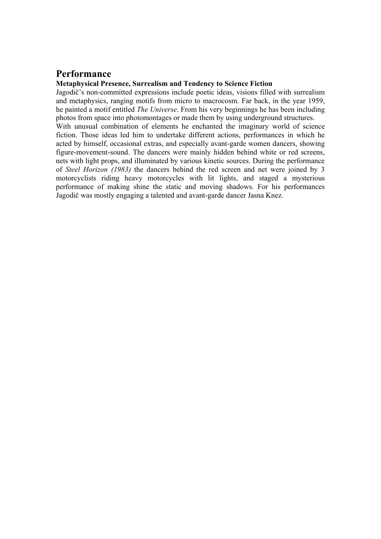#### **Performance**

#### **Metaphysical Presence, Surrealism and Tendency to Science Fiction**

Jagodič's non-committed expressions include poetic ideas, visions filled with surrealism and metaphysics, ranging motifs from micro to macrocosm. Far back, in the year 1959, he painted a motif entitled *The Universe*. From his very beginnings he has been including photos from space into photomontages or made them by using underground structures. With unusual combination of elements he enchanted the imaginary world of science fiction. Those ideas led him to undertake different actions, performances in which he acted by himself, occasional extras, and especially avant-garde women dancers, showing figure-movement-sound. The dancers were mainly hidden behind white or red screens, nets with light props, and illuminated by various kinetic sources. During the performance of *Steel Horizon (1983)* the dancers behind the red screen and net were joined by 3 motorcyclists riding heavy motorcycles with lit lights, and staged a mysterious performance of making shine the static and moving shadows. For his performances Jagodič was mostly engaging a talented and avant-garde dancer Jasna Knez.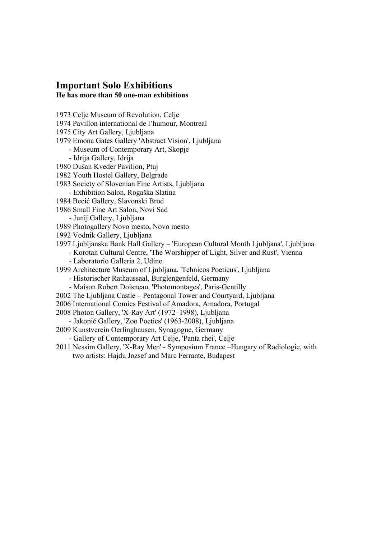#### **Important Solo Exhibitions He has more than 50 one-man exhibitions**

- 1973 Celje Museum of Revolution, Celje
- 1974 Pavillon international de l'humour, Montreal
- 1975 City Art Gallery, Ljubljana
- 1979 Emona Gates Gallery 'Abstract Vision', Ljubljana
	- Museum of Contemporary Art, Skopje
	- Idrija Gallery, Idrija
- 1980 Dušan Kveder Pavilion, Ptuj
- 1982 Youth Hostel Gallery, Belgrade
- 1983 Society of Slovenian Fine Artists, Ljubljana
	- Exhibition Salon, Rogaška Slatina
- 1984 Becić Gallery, Slavonski Brod
- 1986 Small Fine Art Salon, Novi Sad
	- Junij Gallery, Ljubljana
- 1989 Photogallery Novo mesto, Novo mesto
- 1992 Vodnik Gallery, Ljubljana
- 1997 Ljubljanska Bank Hall Gallery 'European Cultural Month Ljubljana', Ljubljana - Korotan Cultural Centre, 'The Worshipper of Light, Silver and Rust', Vienna
	- Laboratorio Galleria 2, Udine
- 1999 Architecture Museum of Ljubljana, 'Tehnicos Poeticus', Ljubljana
	- Historischer Rathaussaal, Burglengenfeld, Germany
	- Maison Robert Doisneau, 'Photomontages', Paris-Gentilly
- 2002 The Ljubljana Castle Pentagonal Tower and Courtyard, Ljubljana
- 2006 International Comics Festival of Amadora, Amadora, Portugal
- 2008 Photon Gallery, 'X-Ray Art' (1972–1998), Ljubljana
- Jakopič Gallery, 'Zoo Poetics' (1963-2008), Ljubljana
- 2009 Kunstverein Oerlinghausen, Synagogue, Germany
	- Gallery of Contemporary Art Celje, 'Panta rhei', Celje
- 2011 Nessim Gallery, 'X-Ray Men' Symposium France –Hungary of Radiologie, with two artists: Hajdu Jozsef and Marc Ferrante, Budapest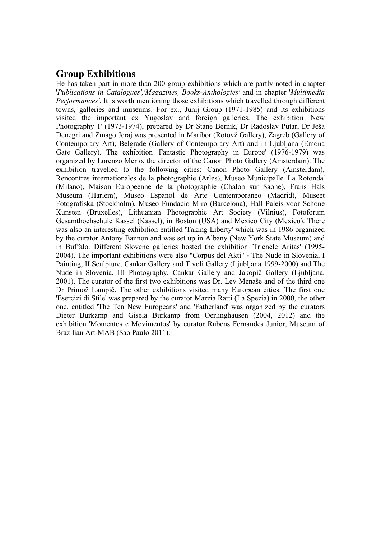### **Group Exhibitions**

He has taken part in more than 200 group exhibitions which are partly noted in chapter '*Publications in Catalogues','Magazines, Books-Anthologies'* and in chapter '*Multimedia Performances'*. It is worth mentioning those exhibitions which travelled through different towns, galleries and museums. For ex., Junij Group (1971-1985) and its exhibitions visited the important ex Yugoslav and foreign galleries. The exhibition 'New Photography 1' (1973-1974), prepared by Dr Stane Bernik, Dr Radoslav Putar, Dr Ješa Denegri and Zmago Jeraj was presented in Maribor (Rotovž Gallery), Zagreb (Gallery of Contemporary Art), Belgrade (Gallery of Contemporary Art) and in Ljubljana (Emona Gate Gallery). The exhibition 'Fantastic Photography in Europe' (1976-1979) was organized by Lorenzo Merlo, the director of the Canon Photo Gallery (Amsterdam). The exhibition travelled to the following cities: Canon Photo Gallery (Amsterdam), Rencontres internationales de la photographie (Arles), Museo Municipalle 'La Rotonda' (Milano), Maison Europeenne de la photographie (Chalon sur Saone), Frans Hals Museum (Harlem), Museo Espanol de Arte Contemporaneo (Madrid), Museet Fotografiska (Stockholm), Museo Fundacio Miro (Barcelona), Hall Paleis voor Schone Kunsten (Bruxelles), Lithuanian Photographic Art Society (Vilnius), Fotoforum Gesamthochschule Kassel (Kassel), in Boston (USA) and Mexico City (Mexico). There was also an interesting exhibition entitled 'Taking Liberty' which was in 1986 organized by the curator Antony Bannon and was set up in Albany (New York State Museum) and in Buffalo. Different Slovene galleries hosted the exhibition 'Trienele Aritas' (1995- 2004). The important exhibitions were also "Corpus del Akti" - The Nude in Slovenia, I Painting, II Sculpture, Cankar Gallery and Tivoli Gallery (Ljubljana 1999-2000) and The Nude in Slovenia, III Photography, Cankar Gallery and Jakopič Gallery (Ljubljana, 2001). The curator of the first two exhibitions was Dr. Lev Menaše and of the third one Dr Primož Lampič. The other exhibitions visited many European cities. The first one 'Esercizi di Stile' was prepared by the curator Marzia Ratti (La Spezia) in 2000, the other one, entitled 'The Ten New Europeans' and 'Fatherland' was organized by the curators Dieter Burkamp and Gisela Burkamp from Oerlinghausen (2004, 2012) and the exhibition 'Momentos e Movimentos' by curator Rubens Fernandes Junior, Museum of Brazilian Art-MAB (Sao Paulo 2011).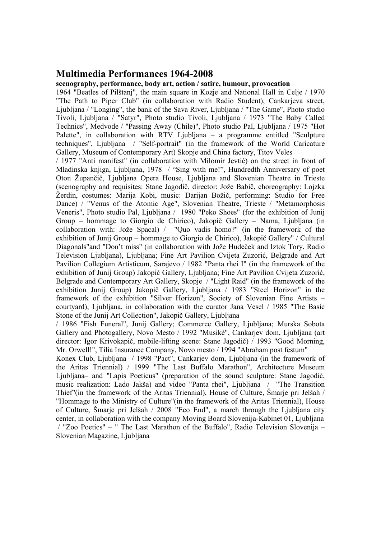#### **Multimedia Performances 1964-2008**

#### **scenography, performance, body art, action / satire, humour, provocation**

1964 "Beatles of Pilštanj", the main square in Kozje and National Hall in Celje / 1970 "The Path to Piper Club" (in collaboration with Radio Student), Cankarjeva street, Ljubljana / "Longing", the bank of the Sava River, Ljubljana / "The Game", Photo studio Tivoli, Ljubljana / "Satyr", Photo studio Tivoli, Ljubljana / 1973 "The Baby Called Technics", Medvode / "Passing Away (Chile)", Photo studio Pal, Ljubljana / 1975 "Hot Palette", in collaboration with RTV Ljubljana – a programme entitled "Sculpture techniques", Ljubljana / "Self-portrait" (in the framework of the World Caricature Gallery, Museum of Contemporary Art) Skopje and China factory, Titov Veles

/ 1977 "Anti manifest" (in collaboration with Milomir Jevtić) on the street in front of Mladinska knjiga, Ljubljana, 1978 / "Sing with me!", Hundredth Anniversary of poet Oton Župančič, Ljubljana Opera House, Ljubljana and Slovenian Theatre in Trieste (scenography and requisites: Stane Jagodič, director: Jože Babič, choreography: Lojzka Žerdin, costumes: Marija Kobi, music: Darijan Božič, performing: Studio for Free Dance) / "Venus of the Atomic Age", Slovenian Theatre, Trieste / "Metamorphosis Veneris", Photo studio Pal, Ljubljana / 1980 "Peko Shoes" (for the exhibition of Junij Group – hommage to Giorgio de Chirico), Jakopič Gallery – Nama, Ljubljana (in collaboration with: Jože Spacal) / "Quo vadis homo?" (in the framework of the exhibition of Junij Group – hommage to Giorgio de Chirico), Jakopič Gallery" / Cultural Diagonals"and "Don't miss" (in collaboration with Jože Hudeček and Iztok Tory, Radio Television Ljubljana), Ljubljana; Fine Art Pavilion Cvijeta Zuzorić, Belgrade and Art Pavilion Collegium Artisticum, Sarajevo / 1982 "Panta rhei I" (in the framework of the exhibition of Junij Group) Jakopič Gallery, Ljubljana; Fine Art Pavilion Cvijeta Zuzorić, Belgrade and Contemporary Art Gallery, Skopje / "Light Raid" (in the framework of the exhibition Junij Group) Jakopič Gallery, Ljubljana / 1983 "Steel Horizon" in the framework of the exhibition "Silver Horizon", Society of Slovenian Fine Artists – courtyard), Ljubljana, in collaboration with the curator Jana Vesel / 1985 "The Basic Stone of the Junij Art Collection", Jakopič Gallery, Ljubljana

/ 1986 "Fish Funeral", Junij Gallery; Commerce Gallery, Ljubljana; Murska Sobota Gallery and Photogallery, Novo Mesto / 1992 "Musiké", Cankarjev dom, Ljubljana (art director: Igor Krivokapič, mobile-lifting scene: Stane Jagodič) / 1993 "Good Morning, Mr. Orwell!", Tilia Insurance Company, Novo mesto / 1994 "Abraham post festum"

Konex Club, Ljubljana / 1998 "Pact", Cankarjev dom, Ljubljana (in the framework of the Aritas Triennial) / 1999 "The Last Buffalo Marathon", Architecture Museum Ljubljana– and "Lapis Poeticus" (preparation of the sound sculpture: Stane Jagodič, music realization: Lado Jakša) and video "Panta rhei", Ljubljana / "The Transition Thief"(in the framework of the Aritas Triennial), House of Culture, Šmarje pri Jelšah / "Hommage to the Ministry of Culture"(in the framework of the Aritas Triennial), House of Culture, Šmarje pri Jelšah / 2008 "Eco End", a march through the Ljubljana city center, in collaboration with the company Moving Board Slovenija-Kabinet 01, Ljubljana / "Zoo Poetics" – " The Last Marathon of the Buffalo", Radio Television Slovenija – Slovenian Magazine, Ljubljana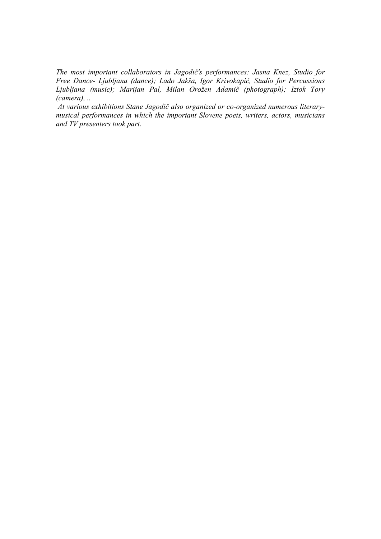*The most important collaborators in Jagodič's performances: Jasna Knez, Studio for Free Dance- Ljubljana (dance); Lado Jakša, Igor Krivokapič, Studio for Percussions Ljubljana (music); Marijan Pal, Milan Orožen Adamič (photograph); Iztok Tory (camera), ..* 

 *At various exhibitions Stane Jagodič also organized or co-organized numerous literarymusical performances in which the important Slovene poets, writers, actors, musicians and TV presenters took part.*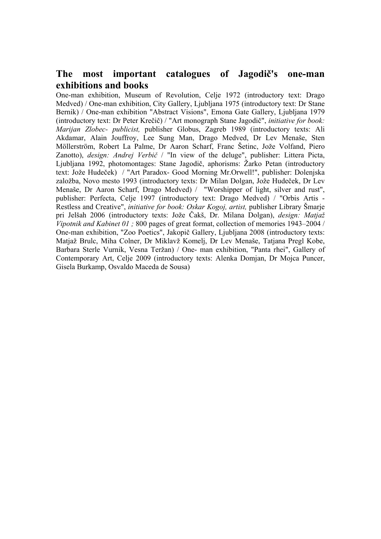### **The most important catalogues of Jagodič's one-man exhibitions and books**

One-man exhibition, Museum of Revolution, Celje 1972 (introductory text: Drago Medved) / One-man exhibition, City Gallery, Ljubljana 1975 (introductory text: Dr Stane Bernik) / One-man exhibition "Abstract Visions", Emona Gate Gallery, Ljubljana 1979 (introductory text: Dr Peter Krečič) / "Art monograph Stane Jagodič", *initiative for book: Marijan Zlobec- publicist,* publisher Globus, Zagreb 1989 (introductory texts: Ali Akdamar, Alain Jouffroy, Lee Sung Man, Drago Medved, Dr Lev Menaše, Sten Möllerström, Robert La Palme, Dr Aaron Scharf, Franc Šetinc, Jože Volfand, Piero Zanotto), *design: Andrej Verbič* / "In view of the deluge", publisher: Littera Picta, Ljubljana 1992, photomontages: Stane Jagodič, aphorisms: Žarko Petan (introductory text: Jože Hudeček) / "Art Paradox- Good Morning Mr.Orwell!", publisher: Dolenjska založba, Novo mesto 1993 (introductory texts: Dr Milan Dolgan, Jože Hudeček, Dr Lev Menaše, Dr Aaron Scharf, Drago Medved) / "Worshipper of light, silver and rust", publisher: Perfecta, Celje 1997 (introductory text: Drago Medved) / "Orbis Artis - Restless and Creative", *initiative for book: Oskar Kogoj, artist,* publisher Library Šmarje pri Jelšah 2006 (introductory texts: Jože Čakš, Dr. Milana Dolgan), *design: Matjaž Vipotnik and Kabinet 01 ;* 800 pages of great format, collection of memories 1943–2004 / One-man exhibition, "Zoo Poetics", Jakopič Gallery, Ljubljana 2008 (introductory texts: Matjaž Brulc, Miha Colner, Dr Miklavž Komelj, Dr Lev Menaše, Tatjana Pregl Kobe, Barbara Sterle Vurnik, Vesna Teržan) / One- man exhibition, "Panta rhei", Gallery of Contemporary Art, Celje 2009 (introductory texts: Alenka Domjan, Dr Mojca Puncer, Gisela Burkamp, Osvaldo Maceda de Sousa)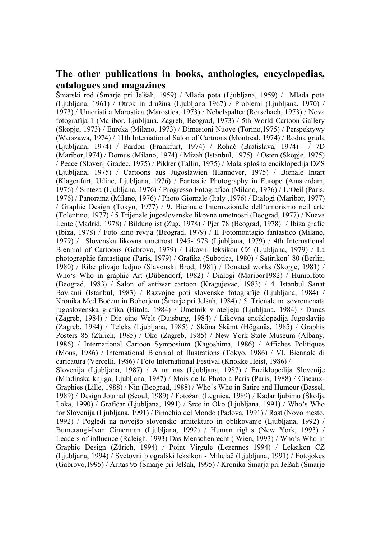#### **The other publications in books, anthologies, encyclopedias, catalogues and magazines**

Šmarski rod (Šmarje pri Jelšah, 1959) / Mlada pota (Ljubljana, 1959) / Mlada pota (Ljubljana, 1961) / Otrok in družina (Ljubljana 1967) / Problemi (Ljubljana, 1970) / 1973) / Umoristi a Marostica (Marostica, 1973) / Nebelspalter (Rorschach, 1973) / Nova fotografija 1 (Maribor, Ljubljana, Zagreb, Beograd, 1973) / 5th World Cartoon Gallery (Skopje, 1973) / Eureka (Milano, 1973) / Dimesioni Nuove (Torino,1975) / Perspektywy (Warszawa, 1974) / 11th International Salon of Cartoons (Montreal, 1974) / Rodna gruda (Ljubljana, 1974) / Pardon (Frankfurt, 1974) / Rohač (Bratislava, 1974) / 7D (Maribor,1974) / Domus (Milano, 1974) / Mizah (Istanbul, 1975) / Osten (Skopje, 1975) / Peace (Slovenj Gradec, 1975) / Pikker (Tallin, 1975) / Mala splošna enciklopedija DZS (Ljubljana, 1975) / Cartoons aus Jugoslawien (Hannover, 1975) / Bienale Intart (Klagenfurt, Udine, Ljubljana, 1976) / Fantastic Photography in Europe (Amsterdam, 1976) / Sinteza (Ljubljana, 1976) / Progresso Fotografico (Milano, 1976) / L'Oeil (Paris, 1976) / Panorama (Milano, 1976) / Photo Giornale (Italy ,1976) / Dialogi (Maribor, 1977) / Graphic Design (Tokyo, 1977) / 9. Biennale Internazionale dell'umorismo nell arte (Tolentino, 1977) / 5 Trijenale jugoslovenske likovne umetnosti (Beograd, 1977) / Nueva Lente (Madrid, 1978) / Bildung ist (Zug, 1978) / Pjer 78 (Beograd, 1978) / Ibiza grafic (Ibiza, 1978) / Foto kino revija (Beograd, 1979) / II Fotomontagio fantastico (Milano, 1979) / Slovenska likovna umetnost 1945-1978 (Ljubljana, 1979) / 4th International Biennial of Cartoons (Gabrovo, 1979) / Likovni leksikon CZ (Ljubljana, 1979) / La photographie fantastique (Paris, 1979) / Grafika (Subotica, 1980) / Satirikon' 80 (Berlin, 1980) / Ribe plivajo ledjno (Slavonski Brod, 1981) / Donated works (Skopje, 1981) / Who's Who in graphic Art (Dübendorf, 1982) / Dialogi (Maribor1982) / Humorfoto (Beograd, 1983) / Salon of antiwar cartoon (Kragujevac, 1983) / 4. Istanbul Sanat Bayrami (Istanbul, 1983) / Razvojne poti slovenske fotografije (Ljubljana, 1984) / Kronika Med Bočem in Bohorjem (Šmarje pri Jelšah, 1984) / 5. Trienale na sovremenata jugoslovenska grafika (Bitola, 1984) / Umetnik v ateljeju (Ljubljana, 1984) / Danas (Zagreb, 1984) / Die eine Welt (Duisburg, 1984) / Likovna enciklopedija Jugoslavije (Zagreb, 1984) / Teleks (Ljubljana, 1985) / Sköna Skämt (Höganäs, 1985) / Graphis Posters 85 (Zürich, 1985) / Oko (Zagreb, 1985) / New York State Museum (Albany, 1986) / International Cartoon Symposium (Kagoshima, 1986) / Affiches Politiques (Mons, 1986) / International Biennial of Ilustrations (Tokyo, 1986) / VI. Biennale di caricatura (Vercelli, 1986) / Foto International Festival (Knokke Heist, 1986) / Slovenija (Ljubljana, 1987) / A na nas (Ljubljana, 1987) / Enciklopedija Slovenije (Mladinska knjiga, Ljubljana, 1987) / Mois de la Photo a Paris (Paris, 1988) / Ciseaux-Graphies (Lille, 1988) / Nin (Beograd, 1988) / Who's Who in Satire and Humour (Bassel, 1989) / Design Journal (Seoul, 1989) / Fotožart (Legnica, 1989) / Kadar ljubimo (Škofja

Loka, 1990) / Grafičar (Ljubljana, 1991) / Srce in Oko (Ljubljana, 1991) / Who's Who for Slovenija (Ljubljana, 1991) / Pinochio del Mondo (Padova, 1991) / Rast (Novo mesto, 1992) / Pogledi na novejšo slovensko arhitekturo in oblikovanje (Ljubljana, 1992) / Bumerangi-Ivan Cimerman (Ljubljana, 1992) / Human rights (New York, 1993) / Leaders of influence (Raleigh, 1993) Das Menschenrecht ( Wien, 1993) / Who's Who in Graphic Design (Zürich, 1994) / Point Virgule (Lezennes 1994) / Leksikon CZ (Ljubljana, 1994) / Svetovni biografski leksikon - Mihelač (Ljubljana, 1991) / Fotojokes (Gabrovo,1995) / Aritas 95 (Šmarje pri Jelšah, 1995) / Kronika Šmarja pri Jelšah (Šmarje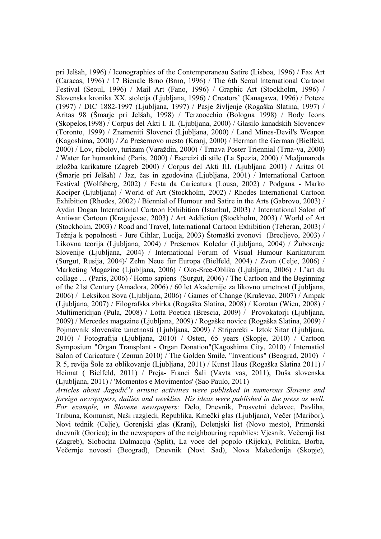pri Jelšah, 1996) / Iconographies of the Contemporaneau Satire (Lisboa, 1996) / Fax Art (Caracas, 1996) / 17 Bienale Brno (Brno, 1996) / The 6th Seoul lnternational Cartoon Festival (Seoul, 1996) / Mail Art (Fano, 1996) / Graphic Art (Stockholm, 1996) / Slovenska kronika XX. stoletja (Ljubljana, 1996) / Creators' (Kanagawa, 1996) / Poteze (1997) / DIC 1882-1997 (Ljubljana, 1997) / Pasje življenje (Rogaška Slatina, 1997) / Aritas 98 (Šmarje pri Jelšah, 1998) / Terzoocchio (Bologna 1998) / Body Icons (Skopelos,1998) / Corpus del Akti I. II. (Ljubljana, 2000) / Glasilo kanadskih Slovencev (Toronto, 1999) / Znameniti Slovenci (Ljubljana, 2000) / Land Mines-Devil's Weapon (Kagoshima, 2000) / Za Prešernovo mesto (Kranj, 2000) / Herman the German (Bielfeld, 2000) / Lov, ribolov, turizam (Varaždin, 2000) / Trnava Poster Triennial (Trna-va, 2000) / Water for humankind (Paris, 2000) / Esercizi di stile (La Spezia, 2000) / Medjunaroda izložba karikature (Zagreb 2000) / Corpus del Akti III. (Ljubljana 2001) / Aritas 01 (Šmarje pri Jelšah) / Jaz, čas in zgodovina (Ljubljana, 2001) / International Cartoon Festival (Wolfsberg, 2002) / Festa da Caricatura (Lousa, 2002) / Podgana - Marko Kociper (Ljubljana) / World of Art (Stockholm, 2002) / Rhodes International Cartoon Exhibition (Rhodes, 2002) / Biennial of Humour and Satire in the Arts (Gabrovo, 2003) / Aydin Dogan International Cartoon Exhibition (Istanbul, 2003) / International Salon of Antiwar Cartoon (Kragujevac, 2003) / Art Addiction (Stockholm, 2003) / World of Art (Stockholm, 2003) / Road and Travel, International Cartoon Exhibition (Teheran, 2003) / Težnja k popolnosti - Jure Cihlar, Lucija, 2003) Štomaški zvonovi (Brecljevo, 2003) / Likovna teorija (Ljubljana, 2004) / Prešernov Koledar (Ljubljana, 2004) / Žuborenje Slovenije (Ljubljana, 2004) / International Forum of Visual Humour Karikaturum (Surgut, Rusija, 2004)/ Zehn Neue für Europa (Bielfeld, 2004) / Zvon (Celje, 2006) / Marketing Magazine (Ljubljana, 2006) / Oko-Srce-Oblika (Ljubljana, 2006) / L'art du collage … (Paris, 2006) / Homo sapiens (Surgut, 2006) / The Cartoon and the Beginning of the 21st Century (Amadora, 2006) / 60 let Akademije za likovno umetnost (Ljubljana, 2006) / Leksikon Sova (Ljubljana, 2006) / Games of Change (Kruševac, 2007) / Ampak (Ljubljana, 2007) / Filografska zbirka (Rogaška Slatina, 2008) / Korotan (Wien, 2008) / Multimeridijan (Pula, 2008) / Lotta Poetica (Brescia, 2009) / Provokatorji (Ljubljana, 2009) / Mercedes magazine (Ljubljana, 2009) / Rogaške novice (Rogaška Slatina, 2009) / Pojmovnik slovenske umetnosti (Ljubljana, 2009) / Striporeki - Iztok Sitar (Ljubljana, 2010) / Fotografija (Ljubljana, 2010) / Osten, 65 years (Skopje, 2010) / Cartoon Symposium "Organ Transplant - Organ Donation"(Kagoshima City, 2010) / Internatiol Salon of Caricature ( Zemun 2010) / The Golden Smile, "Inventions" (Beograd, 2010) / R 5, revija Šole za oblikovanje (Ljubljana, 2011) / Kunst Haus (Rogaška Slatina 2011) / Heimat ( Bielfeld, 2011) / Preja- Franci Šali (Vavta vas, 2011), Duša slovenska (Ljubljana, 2011) / 'Momentos e Movimentos' (Sao Paulo, 2011)

*Articles about Jagodič's artistic activities were published in numerous Slovene and foreign newspapers, dailies and weeklies. His ideas were published in the press as well. For example, in Slovene newspapers:* Delo, Dnevnik, Prosvetni delavec, Pavliha, Tribuna, Komunist, Naši razgledi, Republika, Kmečki glas (Ljubljana), Večer (Maribor), Novi tednik (Celje), Gorenjski glas (Kranj), Dolenjski list (Novo mesto), Primorski dnevnik (Gorica); in the newspapers of the neighbouring republics: Vjesnik, Večernji list (Zagreb), Slobodna Dalmacija (Split), La voce del popolo (Rijeka), Politika, Borba, Večernje novosti (Beograd), Dnevnik (Novi Sad), Nova Makedonija (Skopje),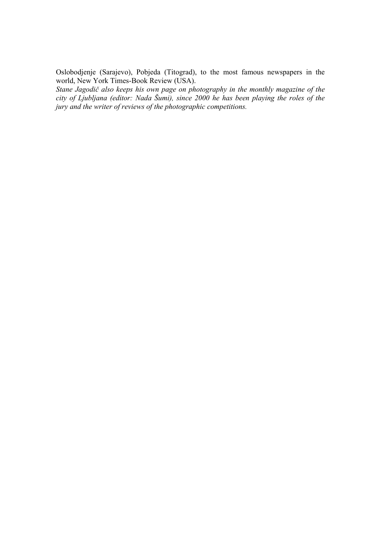Oslobodjenje (Sarajevo), Pobjeda (Titograd), to the most famous newspapers in the world, New York Times-Book Review (USA).

*Stane Jagodič also keeps his own page on photography in the monthly magazine of the city of Ljubljana (editor: Nada Šumi), since 2000 he has been playing the roles of the jury and the writer of reviews of the photographic competitions.*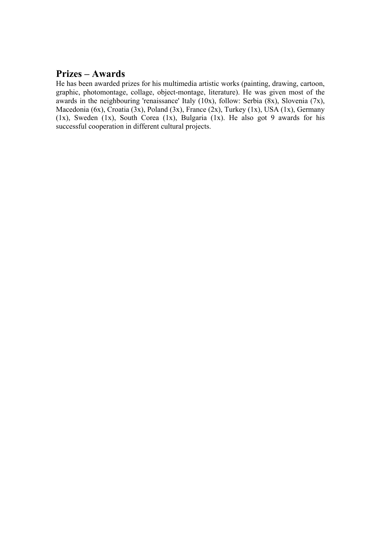### **Prizes – Awards**

He has been awarded prizes for his multimedia artistic works (painting, drawing, cartoon, graphic, photomontage, collage, object-montage, literature). He was given most of the awards in the neighbouring 'renaissance' Italy  $(10x)$ , follow: Serbia  $(8x)$ , Slovenia  $(7x)$ , Macedonia (6x), Croatia (3x), Poland (3x), France (2x), Turkey (1x), USA (1x), Germany (1x), Sweden (1x), South Corea (1x), Bulgaria (1x). He also got 9 awards for his successful cooperation in different cultural projects.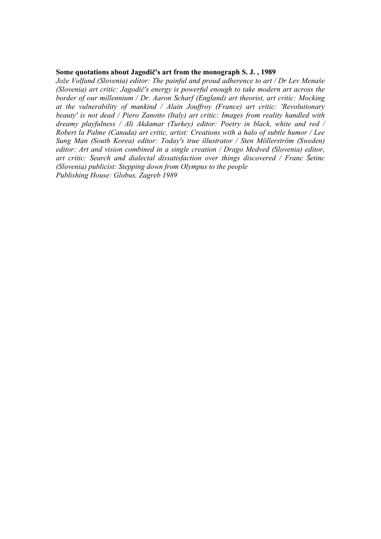#### **Some quotations about Jagodič's art from the monograph S. J. , 1989**

*Jože Volfand (Slovenia) editor: The painful and proud adherence to art / Dr Lev Menaše (Slovenia) art critic: Jagodič's energy is powerful enough to take modern art across the border of our millennium / Dr. Aaron Scharf (England) art theorist, art critic: Mocking at the vulnerability of mankind / Alain Jouffroy (France) art critic: 'Revolutionary beauty' is not dead / Piero Zanotto (Italy) art critic: Images from reality handled with dreamy playfulness / Ali Akdamar (Turkey) editor: Poetry in black, white and red / Robert la Palme (Canada) art critic, artist: Creations with a halo of subtle humor / Lee Sung Man (South Korea) editor: Today's true illustrator / Sten Möllerström (Sweden) editor: Art and vision combined in a single creation / Drago Medved (Slovenia) editor, art critic: Search and dialectal dissatisfaction over things discovered / Franc Šetinc (Slovenia) publicist: Stepping down from Olympus to the people Publishing House: Globus, Zagreb 1989*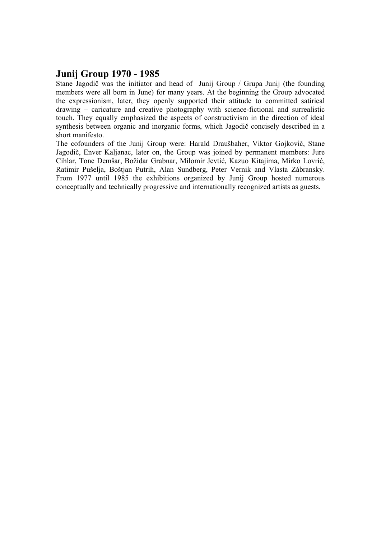## **Junij Group 1970 - 1985**

Stane Jagodič was the initiator and head of Junij Group / Grupa Junij (the founding members were all born in June) for many years. At the beginning the Group advocated the expressionism, later, they openly supported their attitude to committed satirical drawing – caricature and creative photography with science-fictional and surrealistic touch. They equally emphasized the aspects of constructivism in the direction of ideal synthesis between organic and inorganic forms, which Jagodič concisely described in a short manifesto.

The cofounders of the Junij Group were: Harald Draušbaher, Viktor Gojkovič, Stane Jagodič, Enver Kaljanac, later on, the Group was joined by permanent members: Jure Cihlar, Tone Demšar, Božidar Grabnar, Milomir Jevtić, Kazuo Kitajima, Mirko Lovrić, Ratimir Pušelja, Boštjan Putrih, Alan Sundberg, Peter Vernik and Vlasta Zábranský. From 1977 until 1985 the exhibitions organized by Junij Group hosted numerous conceptually and technically progressive and internationally recognized artists as guests.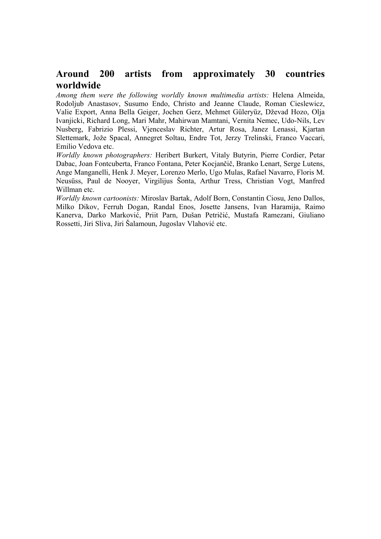# **Around 200 artists from approximately 30 countries worldwide**

*Among them were the following worldly known multimedia artists:* Helena Almeida, Rodoljub Anastasov, Susumo Endo, Christo and Jeanne Claude, Roman Cieslewicz, Valie Export, Anna Bella Geiger, Jochen Gerz, Mehmet Güleryüz, Dževad Hozo, Olja Ivanjicki, Richard Long, Mari Mahr, Mahirwan Mamtani, Vernita Nemec, Udo-Nils, Lev Nusberg, Fabrizio Plessi, Vjenceslav Richter, Artur Rosa, Janez Lenassi, Kjartan Slettemark, Jože Spacal, Annegret Soltau, Endre Tot, Jerzy Trelinski, Franco Vaccari, Emilio Vedova etc.

*Worldly known photographers:* Heribert Burkert, Vitaly Butyrin, Pierre Cordier, Petar Dabac, Joan Fontcuberta, Franco Fontana, Peter Kocjančič, Branko Lenart, Serge Lutens, Ange Manganelli, Henk J. Meyer, Lorenzo Merlo, Ugo Mulas, Rafael Navarro, Floris M. Neusüss, Paul de Nooyer, Virgilijus Šonta, Arthur Tress, Christian Vogt, Manfred Willman etc.

*Worldly known cartoonists:* Miroslav Bartak, Adolf Born, Constantin Ciosu, Jeno Dallos, Milko Dikov, Ferruh Dogan, Randal Enos, Josette Jansens, Ivan Haramija, Raimo Kanerva, Darko Marković, Priit Parn, Dušan Petričić, Mustafa Ramezani, Giuliano Rossetti, Jiri Sliva, Jiri Šalamoun, Jugoslav Vlahović etc.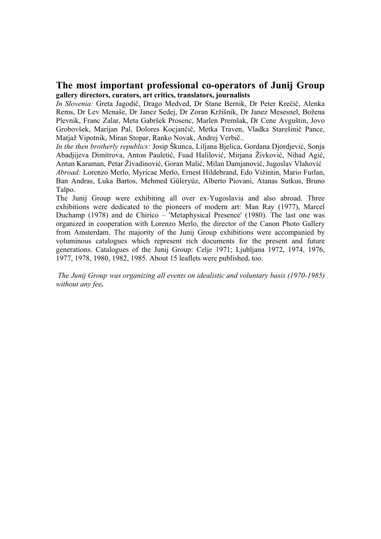#### **The most important professional co-operators of Junij Group gallery directors, curators, art critics, translators, journalists**

*In Slovenia:* Greta Jagodič, Drago Medved, Dr Stane Bernik, Dr Peter Krečič, Alenka Rems, Dr Lev Menaše, Dr Janez Sedej, Dr Zoran Kržišnik, Dr Janez Mesesnel, Božena Plevnik, Franc Zalar, Meta Gabršek Prosenc, Marlen Premšak, Dr Cene Avguštin, Jovo Grobovšek, Marijan Pal, Dolores Kocjančič, Metka Traven, Vladka Starešinič Pance, Matjaž Vipotnik, Miran Stopar, Ranko Novak, Andrej Verbič..

*In the then brotherly republics:* Josip Škunca, Liljana Bjelica, Gordana Djordjević, Sonja Abadjijeva Dimitrova, Anton Pauletić, Fuad Halilović, Mirjana Živković, Nihad Agić, Antun Karaman, Petar Živadinović, Goran Malić, Milan Damjanović, Jugoslav Vlahović *Abroad:* Lorenzo Merlo, Myricae Merlo, Ernest Hildebrand, Edo Vižintin, Mario Furlan, Ban Andras, Luka Bartos, Mehmed Güleryüz, Alberto Piovani, Atanas Sutkus, Bruno Talpo.

The Junij Group were exhibiting all over ex-Yugoslavia and also abroad. Three exhibitions were dedicated to the pioneers of modern art: Man Ray (1977), Marcel Duchamp (1978) and de Chirico – 'Metaphysical Presence' (1980). The last one was organized in cooperation with Lorenzo Merlo, the director of the Canon Photo Gallery from Amsterdam. The majority of the Junij Group exhibitions were accompanied by voluminous catalogues which represent rich documents for the present and future generations. Catalogues of the Junij Group: Celje 1971; Ljubljana 1972, 1974, 1976, 1977, 1978, 1980, 1982, 1985. About 15 leaflets were published, too.

*The Junij Group was organizing all events on idealistic and voluntary basis (1970-1985) without any fee.*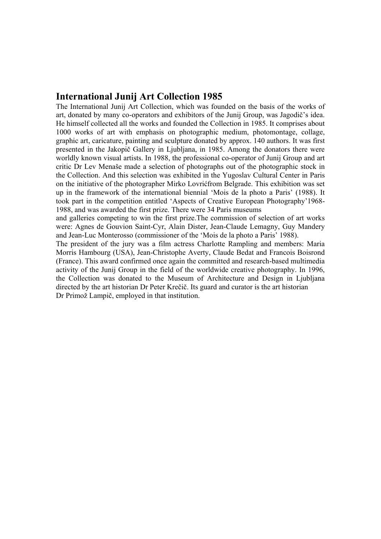#### **International Junij Art Collection 1985**

The International Junij Art Collection, which was founded on the basis of the works of art, donated by many co-operators and exhibitors of the Junij Group, was Jagodič's idea. He himself collected all the works and founded the Collection in 1985. It comprises about 1000 works of art with emphasis on photographic medium, photomontage, collage, graphic art, caricature, painting and sculpture donated by approx. 140 authors. It was first presented in the Jakopič Gallery in Ljubljana, in 1985. Among the donators there were worldly known visual artists. In 1988, the professional co-operator of Junij Group and art critic Dr Lev Menaše made a selection of photographs out of the photographic stock in the Collection. And this selection was exhibited in the Yugoslav Cultural Center in Paris on the initiative of the photographer Mirko Lovrićfrom Belgrade. This exhibition was set up in the framework of the international biennial 'Mois de la photo a Paris' (1988). It took part in the competition entitled 'Aspects of Creative European Photography'1968- 1988, and was awarded the first prize. There were 34 Paris museums

and galleries competing to win the first prize.The commission of selection of art works were: Agnes de Gouvion Saint-Cyr, Alain Dister, Jean-Claude Lemagny, Guy Mandery and Jean-Luc Monterosso (commissioner of the 'Mois de la photo a Paris' 1988).

The president of the jury was a film actress Charlotte Rampling and members: Maria Morris Hambourg (USA), Jean-Christophe Averty, Claude Bedat and Francois Boisrond (France). This award confirmed once again the committed and research-based multimedia activity of the Junij Group in the field of the worldwide creative photography. In 1996, the Collection was donated to the Museum of Architecture and Design in Ljubljana directed by the art historian Dr Peter Krečič. Its guard and curator is the art historian Dr Primož Lampič, employed in that institution.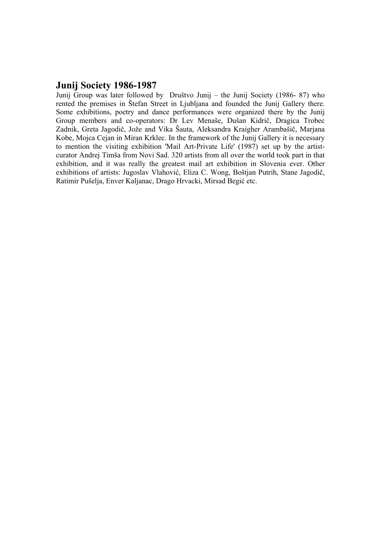#### **Junij Society 1986-1987**

Junij Group was later followed by Društvo Junij – the Junij Society (1986- 87) who rented the premises in Štefan Street in Ljubljana and founded the Junij Gallery there. Some exhibitions, poetry and dance performances were organized there by the Junij Group members and co-operators: Dr Lev Menaše, Dušan Kidrič, Dragica Trobec Zadnik, Greta Jagodič, Jože and Vika Šauta, Aleksandra Kraigher Arambašič, Marjana Kobe, Mojca Cejan in Miran Krklec. In the framework of the Junij Gallery it is necessary to mention the visiting exhibition 'Mail Art-Private Life' (1987) set up by the artistcurator Andrej Timša from Novi Sad. 320 artists from all over the world took part in that exhibition, and it was really the greatest mail art exhibition in Slovenia ever. Other exhibitions of artists: Jugoslav Vlahović, Eliza C. Wong, Boštjan Putrih, Stane Jagodič, Ratimir Pušelja, Enver Kaljanac, Drago Hrvacki, Mirsad Begić etc.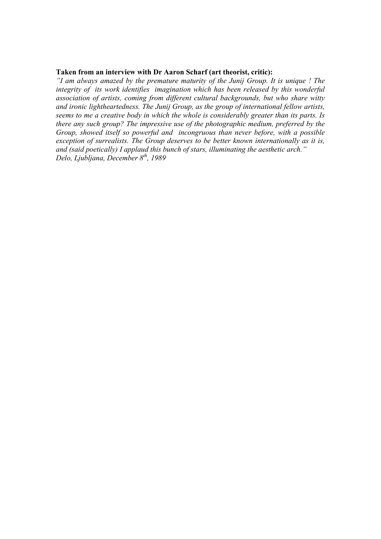#### **Taken from an interview with Dr Aaron Scharf (art theorist, critic):**

*"I am always amazed by the premature maturity of the Junij Group. It is unique ! The integrity of its work identifies imagination which has been released by this wonderful association of artists, coming from different cultural backgrounds, but who share witty and ironic lightheartedness. The Junij Group, as the group of international fellow artists, seems to me a creative body in which the whole is considerably greater than its parts. Is there any such group? The impressive use of the photographic medium, preferred by the Group, showed itself so powerful and incongruous than never before, with a possible exception of surrealists. The Group deserves to be better known internationally as it is, and (said poetically) I applaud this bunch of stars, illuminating the aesthetic arch." Delo, Ljubljana, December 8th, 1989*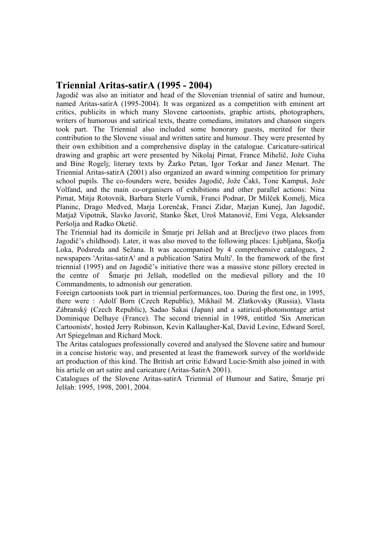#### **Triennial Aritas-satirA (1995 - 2004)**

Jagodič was also an initiator and head of the Slovenian triennial of satire and humour, named Aritas-satirA (1995-2004). It was organized as a competition with eminent art critics, publicits in which many Slovene cartoonists, graphic artists, photographers, writers of humorous and satirical texts, theatre comedians, imitators and chanson singers took part. The Triennial also included some honorary guests, merited for their contribution to the Slovene visual and written satire and humour. They were presented by their own exhibition and a comprehensive display in the catalogue. Caricature-satirical drawing and graphic art were presented by Nikolaj Pirnat, France Mihelič, Jože Ciuha and Bine Rogelj; literary texts by Žarko Petan, Igor Torkar and Janez Menart. The Triennial Aritas-satirA (2001) also organized an award winning competition for primary school pupils. The co-founders were, besides Jagodič, Jože Čakš, Tone Kampuš, Jože Volfand, and the main co-organisers of exhibitions and other parallel actions: Nina Pirnat, Mitja Rotovnik, Barbara Sterle Vurnik, Franci Podnar, Dr Milček Komelj, Mica Planinc, Drago Medved, Marja Lorenčak, Franci Zidar, Marjan Kunej, Jan Jagodič, Matjaž Vipotnik, Slavko Javorič, Stanko Šket, Uroš Matanovič, Emi Vega, Aleksander Peršolja and Radko Oketič.

The Triennial had its domicile in Šmarje pri Jelšah and at Brecljevo (two places from Jagodič's childhood). Later, it was also moved to the following places: Ljubljana, Škofja Loka, Podsreda and Sežana. It was accompanied by 4 comprehensive catalogues, 2 newspapers 'Aritas-satirA' and a publication 'Satira Multi'. In the framework of the first triennial (1995) and on Jagodič's initiative there was a massive stone pillory erected in the centre of Šmarje pri Jelšah, modelled on the medieval pillory and the 10 Commandments, to admonish our generation.

Foreign cartoonists took part in triennial performances, too. During the first one, in 1995, there were : Adolf Born (Czech Republic), Mikhail M. Zlatkovsky (Russia), Vlasta Zábranský (Czech Republic), Sadao Sakai (Japan) and a satirical-photomontage artist Dominique Delhaye (France). The second triennial in 1998, entitled 'Six American Cartoonists', hosted Jerry Robinson, Kevin Kallaugher-Kal, David Levine, Edward Sorel, Art Spiegelman and Richard Mock.

The Aritas catalogues professionally covered and analysed the Slovene satire and humour in a concise historic way, and presented at least the framework survey of the worldwide art production of this kind. The British art critic Edward Lucie-Smith also joined in with his article on art satire and caricature (Aritas-SatirA 2001).

Catalogues of the Slovene Aritas-satirA Triennial of Humour and Satire, Šmarje pri Jelšah: 1995, 1998, 2001, 2004.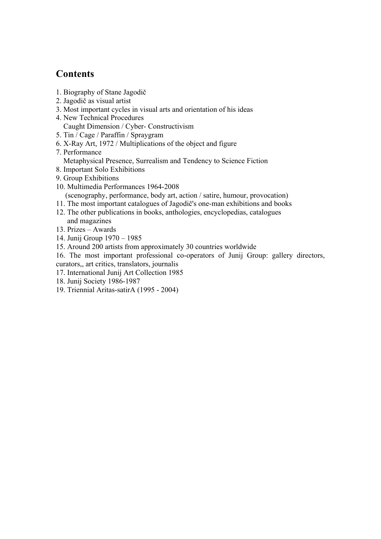### **Contents**

- 1. Biography of Stane Jagodič
- 2. Jagodič as visual artist
- 3. Most important cycles in visual arts and orientation of his ideas
- 4. New Technical Procedures Caught Dimension / Cyber- Constructivism
- 5. Tin / Cage / Paraffin / Spraygram
- 6. X-Ray Art, 1972 / Multiplications of the object and figure
- 7. Performance
	- Metaphysical Presence, Surrealism and Tendency to Science Fiction
- 8. Important Solo Exhibitions
- 9. Group Exhibitions
- 10. Multimedia Performances 1964-2008 (scenography, performance, body art, action / satire, humour, provocation)
- 11. The most important catalogues of Jagodič's one-man exhibitions and books
- 12. The other publications in books, anthologies, encyclopedias, catalogues and magazines
- 13. Prizes Awards
- 14. Junij Group 1970 1985
- 15. Around 200 artists from approximately 30 countries worldwide
- 16. The most important professional co-operators of Junij Group: gallery directors, curators,, art critics, translators, journalis
- 17. International Junij Art Collection 1985
- 18. Junij Society 1986-1987
- 19. Triennial Aritas-satirA (1995 2004)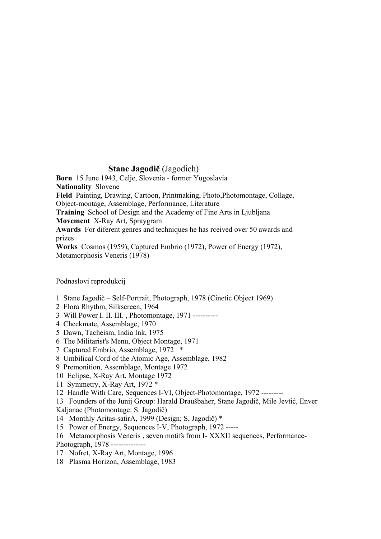#### **Stane Jagodič** (Jagodich)

**Born** 15 June 1943, Celje, Slovenia - former Yugoslavia **Nationality** Slovene **Field** Painting, Drawing, Cartoon, Printmaking, Photo,Photomontage, Collage, Object-montage, Assemblage, Performance, Literature **Training** School of Design and the Academy of Fine Arts in Ljubljana **Movement** X-Ray Art, Spraygram **Awards** For diferent genres and techniques he has rceived over 50 awards and prizes **Works** Cosmos (1959), Captured Embrio (1972), Power of Energy (1972), Metamorphosis Veneris (1978)

Podnaslovi reprodukcij

- 1 Stane Jagodič Self-Portrait, Photograph, 1978 (Cinetic Object 1969)
- 2 Flora Rhythm, Silkscreen, 1964
- 3 Will Power I. II. III. , Photomontage, 1971 ----------
- 4 Checkmate, Assemblage, 1970
- 5 Dawn, Tacheism, India Ink, 1975
- 6 The Militarist's Menu, Object Montage, 1971
- 7 Captured Embrio, Assemblage, 1972 \*
- 8 Umbilical Cord of the Atomic Age, Assemblage, 1982
- 9 Premonition, Assemblage, Montage 1972
- 10 Eclipse, X-Ray Art, Montage 1972
- 11 Symmetry, X-Ray Art, 1972 \*
- 12 Handle With Care, Sequences I-VI, Object-Photomontage, 1972 ---------

13 Founders of the Junij Group: Harald Draušbaher, Stane Jagodič, Mile Jevtić, Enver Kaljanac (Photomontage: S. Jagodič)

- 14 Monthly Aritas-satirA, 1999 (Design; S, Jagodič) \*
- 15 Power of Energy, Sequences I-V, Photograph, 1972 -----
- 16 Metamorphosis Veneris , seven motifs from I- XXXII sequences, Performance-Photograph, 1978 --------------
- 17 Nofret, X-Ray Art, Montage, 1996
- 18 Plasma Horizon, Assemblage, 1983